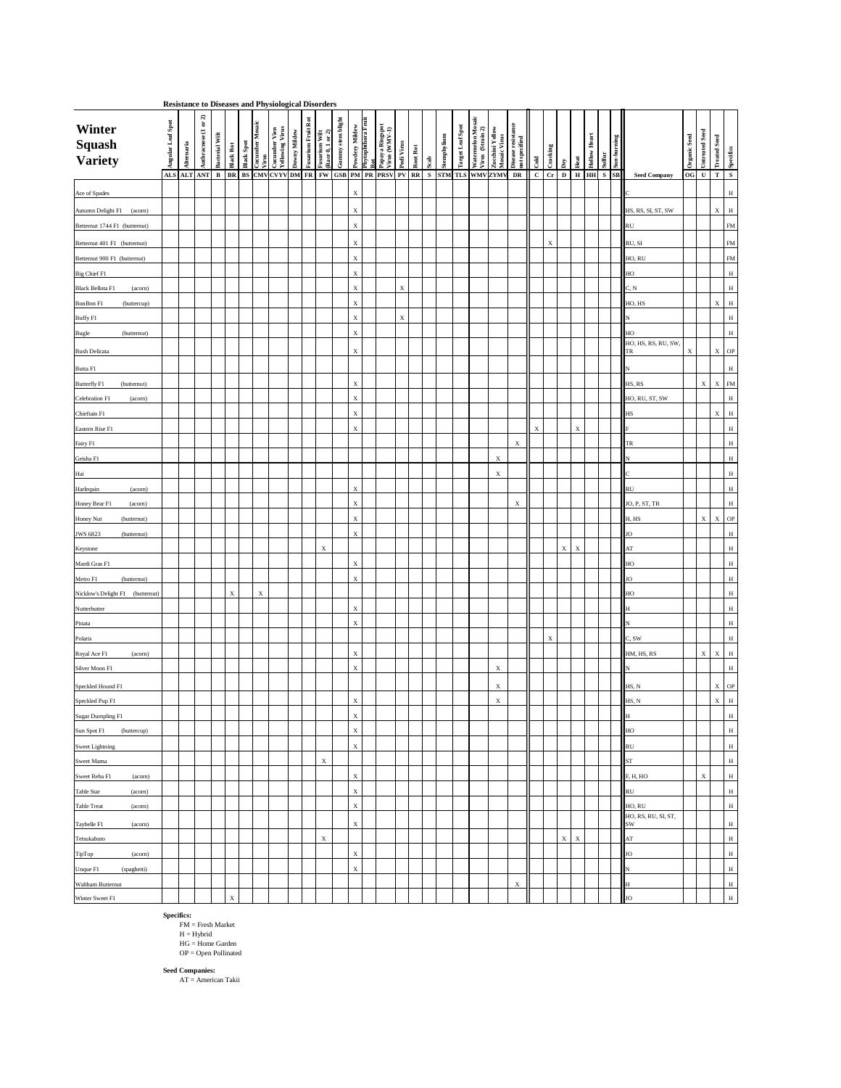| <b>Resistance to Diseases and Physiological Disorders</b> |                   |            |                                                          |                       |                  |                   |                           |                                                 |              |                           |                                   |                    |                            |                           |                                                              |             |          |      |             |                         |                                       |                                 |                                     |              |                           |              |                           |                            |                              |                                               |                                        |                     |                       |
|-----------------------------------------------------------|-------------------|------------|----------------------------------------------------------|-----------------------|------------------|-------------------|---------------------------|-------------------------------------------------|--------------|---------------------------|-----------------------------------|--------------------|----------------------------|---------------------------|--------------------------------------------------------------|-------------|----------|------|-------------|-------------------------|---------------------------------------|---------------------------------|-------------------------------------|--------------|---------------------------|--------------|---------------------------|----------------------------|------------------------------|-----------------------------------------------|----------------------------------------|---------------------|-----------------------|
| Winter<br><b>Squash<br/>Variety</b>                       | Angular Leaf Spot | Alternaria | $\widehat{\mathbf{a}}$<br>$\mathbf{a}$<br>Anthracnose (1 | <b>Bacterial Wilt</b> | <b>Black Rot</b> | <b>Black Spot</b> | Cucumber Mosaic<br>Virus  | Virus<br>--<br>Cucumber Vien<br>Yellowing Virus | Downy Mildew | <b>Fusarium Fruit Rot</b> | Fusarium Wilt<br>(Race 0, 1 or 2) | Gunnny stem blight | Powdery Mildew             | Phytophthora Fruit<br>Rot | Papaya Ringspot<br>Virus (WMV-1)                             | Podi Virus  | Root Rot | Scab | Stemphylium | <b>Target Leaf Spot</b> | Watermelon Mosaic<br>Virus (Strain 2) | Zucchini Yellow<br>Mosaic Virus | Disease resistance<br>not specified | Cold         | Cracking                  | Dry          | Heat                      | <b>Hollow Heart</b>        | <b>Sun-burning</b><br>Sulfur |                                               | <b>Untreated Seed</b><br>Organic Seed  | <b>Treated Seed</b> | Specifics             |
|                                                           |                   |            | ALS ALT ANT                                              | $\mathbf{B}$          |                  |                   |                           |                                                 |              |                           |                                   |                    |                            |                           | BR   BS CMVCVYVDM   FR   FW   GSB   PM   PR   PRSV   PV   RR |             |          |      |             |                         | S STM TLS WMV ZYMV                    |                                 | DR                                  | $\mathbf{C}$ | $1 Cr$ <sup>1</sup>       | $\mathbf{D}$ |                           | $H$  HH $\vert S \vert$ SB |                              | <b>Seed Company</b>                           | $\overline{\text{OG}}$<br>$\mathbf{U}$ | T                   | $\mathbf{S}$          |
| Ace of Spades                                             |                   |            |                                                          |                       |                  |                   |                           |                                                 |              |                           |                                   |                    | $\mathbf X$                |                           |                                                              |             |          |      |             |                         |                                       |                                 |                                     |              |                           |              |                           |                            |                              |                                               |                                        |                     | $\, {\rm H}$          |
| Autumn Delight F1<br>(acorn)                              |                   |            |                                                          |                       |                  |                   |                           |                                                 |              |                           |                                   |                    | $\mathbf X$                |                           |                                                              |             |          |      |             |                         |                                       |                                 |                                     |              |                           |              |                           |                            |                              | HS, RS, SI, ST, SW                            |                                        |                     | $\;$ H<br>$\mathbf X$ |
| Betternut 1744 F1 (butternut)                             |                   |            |                                                          |                       |                  |                   |                           |                                                 |              |                           |                                   |                    | $\mathbf X$                |                           |                                                              |             |          |      |             |                         |                                       |                                 |                                     |              |                           |              |                           |                            |                              | $\prod$ RU                                    |                                        |                     | <b>FM</b>             |
| Betternut 401 F1 (butternut)                              |                   |            |                                                          |                       |                  |                   |                           |                                                 |              |                           |                                   |                    | $\mathbf X$                |                           |                                                              |             |          |      |             |                         |                                       |                                 |                                     |              | $\boldsymbol{\mathrm{X}}$ |              |                           |                            |                              | RU, SI                                        |                                        |                     | <b>FM</b>             |
| Betternut 900 F1 (butternut)                              |                   |            |                                                          |                       |                  |                   |                           |                                                 |              |                           |                                   |                    | $\mathbf X$                |                           |                                                              |             |          |      |             |                         |                                       |                                 |                                     |              |                           |              |                           |                            |                              | HO, RU                                        |                                        |                     | FM                    |
| Big Chief F1                                              |                   |            |                                                          |                       |                  |                   |                           |                                                 |              |                           |                                   |                    | $\mathbf X$                |                           |                                                              |             |          |      |             |                         |                                       |                                 |                                     |              |                           |              |                           |                            |                              | $\blacksquare$                                |                                        |                     | $\, {\rm H}$          |
| <b>Black Bellota F1</b><br>(acorn)                        |                   |            |                                                          |                       |                  |                   |                           |                                                 |              |                           |                                   |                    | $\mathbf X$                |                           |                                                              | $\mathbf X$ |          |      |             |                         |                                       |                                 |                                     |              |                           |              |                           |                            |                              | $\blacksquare$ C, N                           |                                        |                     | $\, {\rm H}$          |
| BonBon F1<br>(buttercup)                                  |                   |            |                                                          |                       |                  |                   |                           |                                                 |              |                           |                                   |                    | $\mathbf X$                |                           |                                                              |             |          |      |             |                         |                                       |                                 |                                     |              |                           |              |                           |                            |                              | $H_O, HS$                                     |                                        |                     | H<br>$\mathbf X$      |
| Buffy F1                                                  |                   |            |                                                          |                       |                  |                   |                           |                                                 |              |                           |                                   |                    | $\mathbf X$                |                           |                                                              | $\mathbf X$ |          |      |             |                         |                                       |                                 |                                     |              |                           |              |                           |                            |                              | ПN                                            |                                        |                     | $\, {\rm H}$          |
| (butternut)<br><b>Bugle</b>                               |                   |            |                                                          |                       |                  |                   |                           |                                                 |              |                           |                                   |                    | $\mathbf X$                |                           |                                                              |             |          |      |             |                         |                                       |                                 |                                     |              |                           |              |                           |                            |                              | $\vert$ HO                                    |                                        |                     | $\, {\rm H} \,$       |
| <b>Bush Delicata</b>                                      |                   |            |                                                          |                       |                  |                   |                           |                                                 |              |                           |                                   |                    | $\mathbf X$                |                           |                                                              |             |          |      |             |                         |                                       |                                 |                                     |              |                           |              |                           |                            |                              | HO, HS, RS, RU, SW,<br>$\blacksquare$         | X                                      |                     | $X$ OP                |
|                                                           |                   |            |                                                          |                       |                  |                   |                           |                                                 |              |                           |                                   |                    |                            |                           |                                                              |             |          |      |             |                         |                                       |                                 |                                     |              |                           |              |                           |                            |                              |                                               |                                        |                     |                       |
| Butta F1                                                  |                   |            |                                                          |                       |                  |                   |                           |                                                 |              |                           |                                   |                    |                            |                           |                                                              |             |          |      |             |                         |                                       |                                 |                                     |              |                           |              |                           |                            |                              | ПN                                            |                                        |                     | H                     |
| Butterfly F1<br>(butternut)                               |                   |            |                                                          |                       |                  |                   |                           |                                                 |              |                           |                                   |                    | $\mathbf X$                |                           |                                                              |             |          |      |             |                         |                                       |                                 |                                     |              |                           |              |                           |                            |                              | H.S, RS                                       | $\boldsymbol{\mathrm{X}}$              |                     | $X$ FM                |
| Celebration F1<br>(acorn)                                 |                   |            |                                                          |                       |                  |                   |                           |                                                 |              |                           |                                   |                    | $\mathbf X$                |                           |                                                              |             |          |      |             |                         |                                       |                                 |                                     |              |                           |              |                           |                            |                              | HO, RU, ST, SW                                |                                        | X                   | H<br>$\;$ H           |
| Chieftain F1                                              |                   |            |                                                          |                       |                  |                   |                           |                                                 |              |                           |                                   |                    | $\mathbf X$<br>$\mathbf X$ |                           |                                                              |             |          |      |             |                         |                                       |                                 |                                     |              |                           |              | $\boldsymbol{\mathrm{X}}$ |                            |                              | $\blacksquare$ HS                             |                                        |                     | $\, {\rm H}$          |
| Eastern Rise F1                                           |                   |            |                                                          |                       |                  |                   |                           |                                                 |              |                           |                                   |                    |                            |                           |                                                              |             |          |      |             |                         |                                       |                                 |                                     | X            |                           |              |                           |                            |                              | $\vert$ TR                                    |                                        |                     | $\, {\rm H}$          |
| Fairy F1<br>Geisha F1                                     |                   |            |                                                          |                       |                  |                   |                           |                                                 |              |                           |                                   |                    |                            |                           |                                                              |             |          |      |             |                         |                                       | $\mathbf X$                     | $\boldsymbol{\mathrm{X}}$           |              |                           |              |                           |                            |                              | ПN                                            |                                        |                     | $\, {\rm H}$          |
| Hai                                                       |                   |            |                                                          |                       |                  |                   |                           |                                                 |              |                           |                                   |                    |                            |                           |                                                              |             |          |      |             |                         |                                       | $\boldsymbol{\mathrm{X}}$       |                                     |              |                           |              |                           |                            |                              |                                               |                                        |                     | $\, {\rm H}$          |
|                                                           |                   |            |                                                          |                       |                  |                   |                           |                                                 |              |                           |                                   |                    | $\mathbf X$                |                           |                                                              |             |          |      |             |                         |                                       |                                 |                                     |              |                           |              |                           |                            |                              | $\blacksquare$                                |                                        |                     | $\, {\rm H}$          |
| Harlequin<br>(acorn)<br>Honey Bear F1<br>(acorn)          |                   |            |                                                          |                       |                  |                   |                           |                                                 |              |                           |                                   |                    | $\mathbf X$                |                           |                                                              |             |          |      |             |                         |                                       |                                 | $\boldsymbol{\mathrm{X}}$           |              |                           |              |                           |                            |                              | JO, P, ST, TR                                 |                                        |                     | $\, {\rm H}$          |
| Honey Nut<br>(butternut)                                  |                   |            |                                                          |                       |                  |                   |                           |                                                 |              |                           |                                   |                    | $\mathbf X$                |                           |                                                              |             |          |      |             |                         |                                       |                                 |                                     |              |                           |              |                           |                            |                              | $\parallel$ H, HS                             | $\mathbf X$                            |                     | $X$ OP                |
| JWS 6823<br>(butternut)                                   |                   |            |                                                          |                       |                  |                   |                           |                                                 |              |                           |                                   |                    | $\mathbf X$                |                           |                                                              |             |          |      |             |                         |                                       |                                 |                                     |              |                           |              |                           |                            |                              | $\blacksquare$                                |                                        |                     | H                     |
| Keystone                                                  |                   |            |                                                          |                       |                  |                   |                           |                                                 |              |                           | $\mathbf X$                       |                    |                            |                           |                                                              |             |          |      |             |                         |                                       |                                 |                                     |              |                           | X            | $\mathbf{X}$              |                            |                              | $\prod$ AT                                    |                                        |                     | $\,$ H                |
| Mardi Gras F1                                             |                   |            |                                                          |                       |                  |                   |                           |                                                 |              |                           |                                   |                    | $\mathbf X$                |                           |                                                              |             |          |      |             |                         |                                       |                                 |                                     |              |                           |              |                           |                            |                              | $\vert$ HO                                    |                                        |                     | $\, {\rm H}$          |
| Metro F1<br>(butternut)                                   |                   |            |                                                          |                       |                  |                   |                           |                                                 |              |                           |                                   |                    | $\mathbf X$                |                           |                                                              |             |          |      |             |                         |                                       |                                 |                                     |              |                           |              |                           |                            |                              | $\vert$ JO                                    |                                        |                     | $\, {\rm H}$          |
| Nicklow's Delight F1<br>(butternut)                       |                   |            |                                                          |                       | X                |                   | $\boldsymbol{\mathrm{X}}$ |                                                 |              |                           |                                   |                    |                            |                           |                                                              |             |          |      |             |                         |                                       |                                 |                                     |              |                           |              |                           |                            |                              | HO                                            |                                        |                     | $\, {\rm H}$          |
| Nutterbutter                                              |                   |            |                                                          |                       |                  |                   |                           |                                                 |              |                           |                                   |                    | $\mathbf X$                |                           |                                                              |             |          |      |             |                         |                                       |                                 |                                     |              |                           |              |                           |                            |                              | ĦН                                            |                                        |                     | $\, {\rm H}$          |
| Pinata                                                    |                   |            |                                                          |                       |                  |                   |                           |                                                 |              |                           |                                   |                    | $\mathbf X$                |                           |                                                              |             |          |      |             |                         |                                       |                                 |                                     |              |                           |              |                           |                            |                              | ПN                                            |                                        |                     | $\, {\rm H}$          |
| Polaris                                                   |                   |            |                                                          |                       |                  |                   |                           |                                                 |              |                           |                                   |                    |                            |                           |                                                              |             |          |      |             |                         |                                       |                                 |                                     |              | $\mathbf X$               |              |                           |                            |                              | $\vert\vert C, SW$                            |                                        |                     | $\, {\rm H}$          |
| Royal Ace F1<br>(acorn)                                   |                   |            |                                                          |                       |                  |                   |                           |                                                 |              |                           |                                   |                    | $\mathbf X$                |                           |                                                              |             |          |      |             |                         |                                       |                                 |                                     |              |                           |              |                           |                            |                              | HM, HS, RS                                    | $\mathbf X$                            |                     | H<br>X                |
| Silver Moon F1                                            |                   |            |                                                          |                       |                  |                   |                           |                                                 |              |                           |                                   |                    | $\mathbf X$                |                           |                                                              |             |          |      |             |                         |                                       | $\mathbf X$                     |                                     |              |                           |              |                           |                            |                              | $\mathsf{II}$ N                               |                                        |                     | $\, {\rm H}$          |
|                                                           |                   |            |                                                          |                       |                  |                   |                           |                                                 |              |                           |                                   |                    |                            |                           |                                                              |             |          |      |             |                         |                                       | $\boldsymbol{X}$                |                                     |              |                           |              |                           |                            |                              |                                               |                                        |                     | $X$ OP                |
| Speckled Hound F1<br>Speckled Pup F1                      |                   |            |                                                          |                       |                  |                   |                           |                                                 |              |                           |                                   |                    | X                          |                           |                                                              |             |          |      |             |                         |                                       | $\boldsymbol{\mathrm{X}}$       |                                     |              |                           |              |                           |                            |                              | $\parallel$ HS, N<br>H.S, N                   |                                        |                     | X <sub>1</sub><br>H   |
|                                                           |                   |            |                                                          |                       |                  |                   |                           |                                                 |              |                           |                                   |                    | $\mathbf X$                |                           |                                                              |             |          |      |             |                         |                                       |                                 |                                     |              |                           |              |                           |                            |                              | HН                                            |                                        |                     | $\, {\rm H}$          |
| Sugar Dumpling F1<br>Sun Spot F1<br>(buttercup)           |                   |            |                                                          |                       |                  |                   |                           |                                                 |              |                           |                                   |                    | $\mathbf X$                |                           |                                                              |             |          |      |             |                         |                                       |                                 |                                     |              |                           |              |                           |                            |                              | $\blacksquare$                                |                                        |                     | $\, {\rm H}$          |
|                                                           |                   |            |                                                          |                       |                  |                   |                           |                                                 |              |                           |                                   |                    | $\mathbf X$                |                           |                                                              |             |          |      |             |                         |                                       |                                 |                                     |              |                           |              |                           |                            |                              |                                               |                                        |                     | $\, {\rm H}$          |
| <b>Sweet Lightning</b><br><b>Sweet Mama</b>               |                   |            |                                                          |                       |                  |                   |                           |                                                 |              |                           | $\boldsymbol{\mathrm{X}}$         |                    |                            |                           |                                                              |             |          |      |             |                         |                                       |                                 |                                     |              |                           |              |                           |                            |                              | <b>RU</b><br><b>IST</b>                       |                                        |                     | $\, {\rm H}$          |
|                                                           |                   |            |                                                          |                       |                  |                   |                           |                                                 |              |                           |                                   |                    | $\mathbf X$                |                           |                                                              |             |          |      |             |                         |                                       |                                 |                                     |              |                           |              |                           |                            |                              |                                               | $\mathbf X$                            |                     | $\mathbf H$           |
| Sweet Reba F1<br>(acorn)<br>Table Star<br>(acorn)         |                   |            |                                                          |                       |                  |                   |                           |                                                 |              |                           |                                   |                    | $\mathbf X$                |                           |                                                              |             |          |      |             |                         |                                       |                                 |                                     |              |                           |              |                           |                            |                              | $\vert$ F, H, HO<br>$\parallel$ <sub>RU</sub> |                                        |                     | $\,$ H                |
| <b>Table Treat</b><br>(acorn)                             |                   |            |                                                          |                       |                  |                   |                           |                                                 |              |                           |                                   |                    | $\mathbf X$                |                           |                                                              |             |          |      |             |                         |                                       |                                 |                                     |              |                           |              |                           |                            |                              | HO, RU                                        |                                        |                     | H                     |
|                                                           |                   |            |                                                          |                       |                  |                   |                           |                                                 |              |                           |                                   |                    |                            |                           |                                                              |             |          |      |             |                         |                                       |                                 |                                     |              |                           |              |                           |                            |                              | HO, RS, RU, SI, ST,                           |                                        |                     |                       |
| Taybelle F1<br>$(\text{acorn})$                           |                   |            |                                                          |                       |                  |                   |                           |                                                 |              |                           |                                   |                    | $\mathbf X$                |                           |                                                              |             |          |      |             |                         |                                       |                                 |                                     |              |                           |              |                           |                            |                              | $\blacksquare$                                |                                        |                     | $\, {\rm H}$          |
| Tetsukabuto                                               |                   |            |                                                          |                       |                  |                   |                           |                                                 |              |                           | $\boldsymbol{\mathrm{X}}$         |                    |                            |                           |                                                              |             |          |      |             |                         |                                       |                                 |                                     |              |                           | X            | X                         |                            |                              | $\blacksquare$                                |                                        |                     | $\, {\rm H}$          |
| TipTop<br>(acorn)                                         |                   |            |                                                          |                       |                  |                   |                           |                                                 |              |                           |                                   |                    | $\mathbf X$                |                           |                                                              |             |          |      |             |                         |                                       |                                 |                                     |              |                           |              |                           |                            |                              | $\prod$ JO                                    |                                        |                     | $\, {\rm H}$          |
| Unque F1<br>(spaghetti)                                   |                   |            |                                                          |                       |                  |                   |                           |                                                 |              |                           |                                   |                    | $\mathbf X$                |                           |                                                              |             |          |      |             |                         |                                       |                                 |                                     |              |                           |              |                           |                            |                              | ПN                                            |                                        |                     | H                     |
| <b>Waltham Butternut</b>                                  |                   |            |                                                          |                       |                  |                   |                           |                                                 |              |                           |                                   |                    |                            |                           |                                                              |             |          |      |             |                         |                                       |                                 | $\boldsymbol{\mathrm{X}}$           |              |                           |              |                           |                            |                              | $\mathbf{H}$                                  |                                        |                     | $\, {\rm H}$          |
| Winter Sweet F1                                           |                   |            |                                                          |                       | $\mathbf X$      |                   |                           |                                                 |              |                           |                                   |                    |                            |                           |                                                              |             |          |      |             |                         |                                       |                                 |                                     |              |                           |              |                           |                            |                              | $\vert$ JO                                    |                                        |                     | H                     |

FM = Fresh Market  $H = Hybrid$ HG = Home Garden OP = Open Pollinated **Specifics:**

**Seed Companies:** AT = American Takii